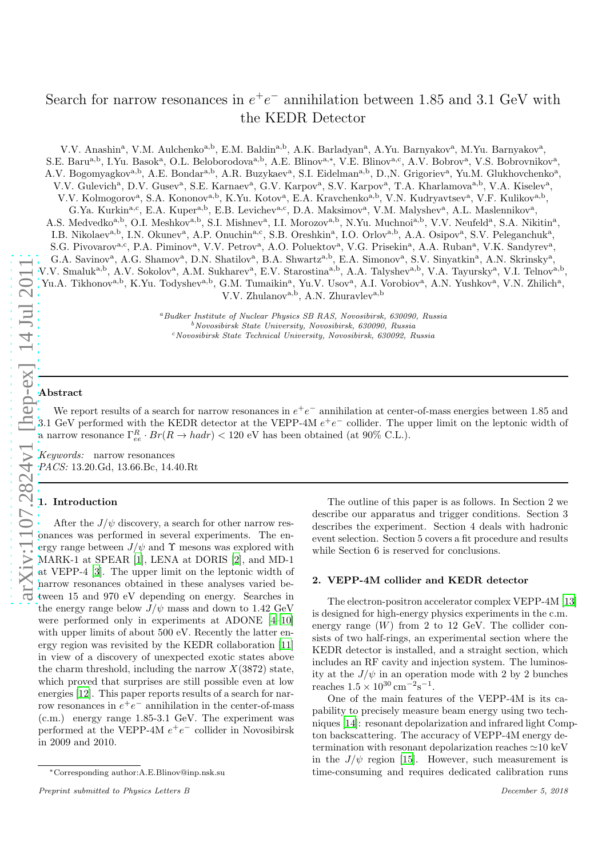# Search for narrow resonances in  $e^+e^-$  annihilation between 1.85 and 3.1 GeV with the KEDR Detector

V.V. Anashin<sup>a</sup>, V.M. Aulchenko<sup>a,b</sup>, E.M. Baldin<sup>a,b</sup>, A.K. Barladyan<sup>a</sup>, A.Yu. Barnyakov<sup>a</sup>, M.Yu. Barnyakov<sup>a</sup>, S.E. Baru<sup>a,b</sup>, I.Yu. Basok<sup>a</sup>, O.L. Beloborodova<sup>a,b</sup>, A.E. Blinov<sup>a,\*</sup>, V.E. Blinov<sup>a,c</sup>, A.V. Bobrov<sup>a</sup>, V.S. Bobrovnikov<sup>a</sup>, A.V. Bogomyagkov<sup>a,b</sup>, A.E. Bondar<sup>a,b</sup>, A.R. Buzykaev<sup>a</sup>, S.I. Eidelman<sup>a,b</sup>, D.,N. Grigoriev<sup>a</sup>, Yu.M. Glukhovchenko<sup>a</sup>, V.V. Gulevich<sup>a</sup>, D.V. Gusev<sup>a</sup>, S.E. Karnaev<sup>a</sup>, G.V. Karpov<sup>a</sup>, S.V. Karpov<sup>a</sup>, T.A. Kharlamova<sup>a,b</sup>, V.A. Kiselev<sup>a</sup>, V.V. Kolmogorov<sup>a</sup>, S.A. Kononov<sup>a,b</sup>, K.Yu. Kotov<sup>a</sup>, E.A. Kravchenko<sup>a,b</sup>, V.N. Kudryavtsev<sup>a</sup>, V.F. Kulikov<sup>a,b</sup>, G.Ya. Kurkin<sup>a,c</sup>, E.A. Kuper<sup>a,b</sup>, E.B. Levichev<sup>a,c</sup>, D.A. Maksimov<sup>a</sup>, V.M. Malyshev<sup>a</sup>, A.L. Maslennikov<sup>a</sup>, A.S. Medvedko<sup>a,b</sup>, O.I. Meshkov<sup>a,b</sup>, S.I. Mishnev<sup>a</sup>, I.I. Morozov<sup>a,b</sup>, N.Yu. Muchnoi<sup>a,b</sup>, V.V. Neufeld<sup>a</sup>, S.A. Nikitin<sup>a</sup>, I.B. Nikolaev<sup>a,b</sup>, I.N. Okunev<sup>a</sup>, A.P. Onuchin<sup>a,c</sup>, S.B. Oreshkin<sup>a</sup>, I.O. Orlov<sup>a,b</sup>, A.A. Osipov<sup>a</sup>, S.V. Peleganchuk<sup>a</sup>, S.G. Pivovarov<sup>a,c</sup>, P.A. Piminov<sup>a</sup>, V.V. Petrov<sup>a</sup>, A.O. Poluektov<sup>a</sup>, V.G. Prisekin<sup>a</sup>, A.A. Ruban<sup>a</sup>, V.K. Sandyrev<sup>a</sup>, G.A. Savinov<sup>a</sup>, A.G. Shamov<sup>a</sup>, D.N. Shatilov<sup>a</sup>, B.A. Shwartz<sup>a,b</sup>, E.A. Simonov<sup>a</sup>, S.V. Sinyatkin<sup>a</sup>, A.N. Skrinsky<sup>a</sup>, V.V. Smaluk<sup>a,b</sup>, A.V. Sokolov<sup>a</sup>, A.M. Sukharev<sup>a</sup>, E.V. Starostina<sup>a,b</sup>, A.A. Talyshev<sup>a,b</sup>, V.A. Tayursky<sup>a</sup>, V.I. Telnov<sup>a,b</sup>, Yu.A. Tikhonov<sup>a,b</sup>, K.Yu. Todyshev<sup>a,b</sup>, G.M. Tumaikin<sup>a</sup>, Yu.V. Usov<sup>a</sup>, A.I. Vorobiov<sup>a</sup>, A.N. Yushkov<sup>a</sup>, V.N. Zhilich<sup>a</sup>, V.V. Zhulanova,b, A.N. Zhuravleva,b

 $^a$ Budker Institute of Nuclear Physics SB RAS, Novosibirsk, 630090, Russia b $^b$ Novosibirsk State University, Novosibirsk, 630092, Russia cNovosibirsk State Technical University, Novosibirsk, 630092, Russia

### Abstract

We report results of a search for narrow resonances in  $e^+e^-$  annihilation at center-of-mass energies between 1.85 and 3.1 GeV performed with the KEDR detector at the VEPP-4M  $e^+e^-$  collider. The upper limit on the leptonic width of a narrow resonance  $\Gamma^R_{ee} \cdot Br(R \to hadr) < 120 \text{ eV}$  has been obtained (at 90% C.L.).

Keywords: narrow resonances PACS: 13.20.Gd, 13.66.Bc, 14.40.Rt

# 1. Introduction

After the  $J/\psi$  discovery, a search for other narrow resonances was performed in several experiments. The energy range between  $J/\psi$  and  $\Upsilon$  mesons was explored with MARK-1 at SPEAR [\[1\]](#page-3-0), LENA at DORIS [\[2\]](#page-3-1), and MD-1 at VEPP-4 [\[3\]](#page-3-2). The upper limit on the leptonic width of narrow resonances obtained in these analyses varied between 15 and 970 eV depending on energy. Searches in the energy range below  $J/\psi$  mass and down to 1.42 GeV were performed only in experiments at ADONE [\[4](#page-3-3)[–10\]](#page-3-4) with upper limits of about 500 eV. Recently the latter energy region was revisited by the KEDR collaboration [\[11\]](#page-3-5) in view of a discovery of unexpected exotic states above the charm threshold, including the narrow  $X(3872)$  state, which proved that surprises are still possible even at low energies [\[12](#page-3-6)]. This paper reports results of a search for narrow resonances in  $e^+e^-$  annihilation in the center-of-mass (c.m.) energy range 1.85-3.1 GeV. The experiment was performed at the VEPP-4M  $e^+e^-$  collider in Novosibirsk in 2009 and 2010.

The outline of this paper is as follows. In Section 2 we describe our apparatus and trigger conditions. Section 3 describes the experiment. Section 4 deals with hadronic event selection. Section 5 covers a fit procedure and results while Section 6 is reserved for conclusions.

# <span id="page-0-0"></span>2. VEPP-4M collider and KEDR detector

The electron-positron accelerator complex VEPP-4M [\[13\]](#page-3-7) is designed for high-energy physics experiments in the c.m. energy range  $(W)$  from 2 to 12 GeV. The collider consists of two half-rings, an experimental section where the KEDR detector is installed, and a straight section, which includes an RF cavity and injection system. The luminosity at the  $J/\psi$  in an operation mode with 2 by 2 bunches reaches  $1.5 \times 10^{30} \text{ cm}^{-2} \text{s}^{-1}$ .

One of the main features of the VEPP-4M is its capability to precisely measure beam energy using two techniques [\[14\]](#page-3-8): resonant depolarization and infrared light Compton backscattering. The accuracy of VEPP-4M energy determination with resonant depolarization reaches ≃10 keV in the  $J/\psi$  region [\[15](#page-3-9)]. However, such measurement is time-consuming and requires dedicated calibration runs

<sup>∗</sup>Corresponding author:A.E.Blinov@inp.nsk.su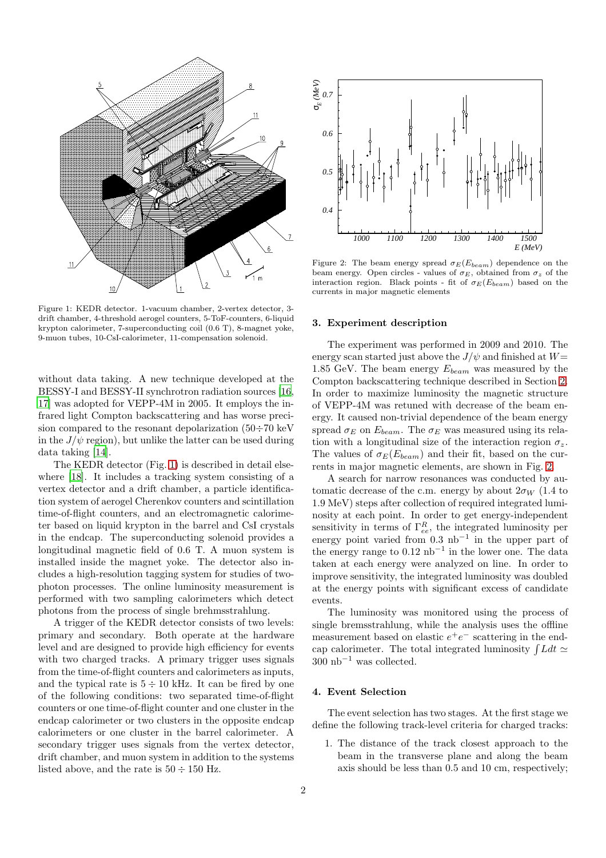

<span id="page-1-0"></span>Figure 1: KEDR detector. 1-vacuum chamber, 2-vertex detector, 3 drift chamber, 4-threshold aerogel counters, 5-ToF-counters, 6-liquid krypton calorimeter, 7-superconducting coil (0.6 T), 8-magnet yoke, 9-muon tubes, 10-CsI-calorimeter, 11-compensation solenoid.

without data taking. A new technique developed at the BESSY-I and BESSY-II synchrotron radiation sources [\[16,](#page-3-10) [17\]](#page-3-11) was adopted for VEPP-4M in 2005. It employs the infrared light Compton backscattering and has worse precision compared to the resonant depolarization  $(50 \div 70 \text{ keV})$ in the  $J/\psi$  region), but unlike the latter can be used during data taking [\[14\]](#page-3-8).

The KEDR detector (Fig. [1\)](#page-1-0) is described in detail else-where [\[18\]](#page-3-12). It includes a tracking system consisting of a vertex detector and a drift chamber, a particle identification system of aerogel Cherenkov counters and scintillation time-of-flight counters, and an electromagnetic calorimeter based on liquid krypton in the barrel and CsI crystals in the endcap. The superconducting solenoid provides a longitudinal magnetic field of 0.6 T. A muon system is installed inside the magnet yoke. The detector also includes a high-resolution tagging system for studies of twophoton processes. The online luminosity measurement is performed with two sampling calorimeters which detect photons from the process of single brehmsstrahlung.

A trigger of the KEDR detector consists of two levels: primary and secondary. Both operate at the hardware level and are designed to provide high efficiency for events with two charged tracks. A primary trigger uses signals from the time-of-flight counters and calorimeters as inputs, and the typical rate is  $5 \div 10$  kHz. It can be fired by one of the following conditions: two separated time-of-flight counters or one time-of-flight counter and one cluster in the endcap calorimeter or two clusters in the opposite endcap calorimeters or one cluster in the barrel calorimeter. A secondary trigger uses signals from the vertex detector, drift chamber, and muon system in addition to the systems listed above, and the rate is  $50 \div 150$  Hz.



<span id="page-1-1"></span>Figure 2: The beam energy spread  $\sigma_E(E_{beam})$  dependence on the beam energy. Open circles - values of  $\sigma_E$ , obtained from  $\sigma_z$  of the interaction region. Black points - fit of  $\sigma_E(E_{beam})$  based on the currents in major magnetic elements

## 3. Experiment description

The experiment was performed in 2009 and 2010. The energy scan started just above the  $J/\psi$  and finished at  $W=$ 1.85 GeV. The beam energy  $E_{beam}$  was measured by the Compton backscattering technique described in Section [2.](#page-0-0) In order to maximize luminosity the magnetic structure of VEPP-4M was retuned with decrease of the beam energy. It caused non-trivial dependence of the beam energy spread  $\sigma_E$  on  $E_{beam}$ . The  $\sigma_E$  was measured using its relation with a longitudinal size of the interaction region  $\sigma_z$ . The values of  $\sigma_E(E_{beam})$  and their fit, based on the currents in major magnetic elements, are shown in Fig. [2.](#page-1-1)

A search for narrow resonances was conducted by automatic decrease of the c.m. energy by about  $2\sigma_W$  (1.4 to 1.9 MeV) steps after collection of required integrated luminosity at each point. In order to get energy-independent sensitivity in terms of  $\Gamma_{ee}^R$ , the integrated luminosity per energy point varied from 0.3 nb−<sup>1</sup> in the upper part of the energy range to  $0.12 \text{ nb}^{-1}$  in the lower one. The data taken at each energy were analyzed on line. In order to improve sensitivity, the integrated luminosity was doubled at the energy points with significant excess of candidate events.

The luminosity was monitored using the process of single bremsstrahlung, while the analysis uses the offline measurement based on elastic  $e^+e^-$  scattering in the endcap calorimeter. The total integrated luminosity  $\int Ldt \simeq$  $300 \text{ nb}^{-1}$  was collected.

# 4. Event Selection

The event selection has two stages. At the first stage we define the following track-level criteria for charged tracks:

1. The distance of the track closest approach to the beam in the transverse plane and along the beam axis should be less than 0.5 and 10 cm, respectively;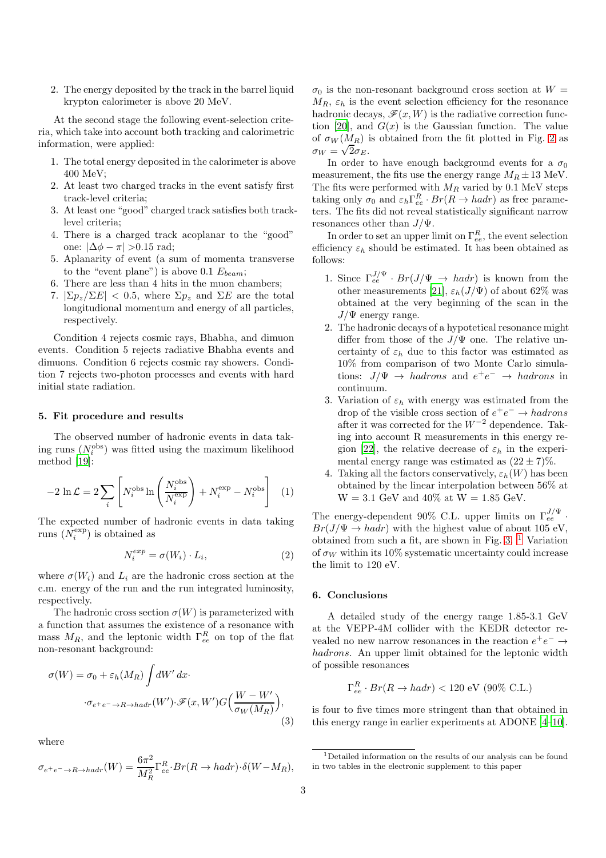2. The energy deposited by the track in the barrel liquid krypton calorimeter is above 20 MeV.

At the second stage the following event-selection criteria, which take into account both tracking and calorimetric information, were applied:

- 1. The total energy deposited in the calorimeter is above 400 MeV;
- 2. At least two charged tracks in the event satisfy first track-level criteria;
- 3. At least one "good" charged track satisfies both tracklevel criteria;
- 4. There is a charged track acoplanar to the "good" one:  $|\Delta \phi - \pi| > 0.15$  rad;
- 5. Aplanarity of event (a sum of momenta transverse to the "event plane") is above 0.1  $E_{beam}$ ;
- 6. There are less than 4 hits in the muon chambers;
- 7.  $|\Sigma p_z / \Sigma E|$  < 0.5, where  $\Sigma p_z$  and  $\Sigma E$  are the total longitudional momentum and energy of all particles, respectively.

Condition 4 rejects cosmic rays, Bhabha, and dimuon events. Condition 5 rejects radiative Bhabha events and dimuons. Condition 6 rejects cosmic ray showers. Condition 7 rejects two-photon processes and events with hard initial state radiation.

# 5. Fit procedure and results

The observed number of hadronic events in data taking runs  $(N_i^{\text{obs}})$  was fitted using the maximum likelihood method [\[19\]](#page-3-13):

$$
-2\ln\mathcal{L} = 2\sum_{i} \left[ N_i^{\text{obs}} \ln \left( \frac{N_i^{\text{obs}}}{N_i^{\text{exp}}} \right) + N_i^{\text{exp}} - N_i^{\text{obs}} \right] \tag{1}
$$

The expected number of hadronic events in data taking runs  $(N_i^{\exp})$  is obtained as

$$
N_i^{exp} = \sigma(W_i) \cdot L_i,\tag{2}
$$

where  $\sigma(W_i)$  and  $L_i$  are the hadronic cross section at the c.m. energy of the run and the run integrated luminosity, respectively.

The hadronic cross section  $\sigma(W)$  is parameterized with a function that assumes the existence of a resonance with mass  $M_R$ , and the leptonic width  $\Gamma_{ee}^R$  on top of the flat non-resonant background:

$$
\sigma(W) = \sigma_0 + \varepsilon_h(M_R) \int dW' dx \cdot
$$

$$
\sigma_{e^+e^- \to R \to hadr}(W') \cdot \mathcal{F}(x, W') G\Big(\frac{W - W'}{\sigma_W(M_R)}\Big),
$$
(3)

where

$$
\sigma_{e^+e^- \to R \to hadr}(W) = \frac{6\pi^2}{M_R^2} \Gamma_{ee}^R \cdot Br(R \to hadr) \cdot \delta(W - M_R),
$$

 $\sigma_0$  is the non-resonant background cross section at  $W =$  $M_R$ ,  $\varepsilon_h$  is the event selection efficiency for the resonance hadronic decays,  $\mathscr{F}(x, W)$  is the radiative correction func-tion [\[20\]](#page-3-14), and  $G(x)$  is the Gaussian function. The value of  $\sigma_W(M_R)$  is obtained from the fit plotted in Fig. [2](#page-1-1) as  $\sigma_W = \sqrt{2} \sigma_E$ .

In order to have enough background events for a  $\sigma_0$ measurement, the fits use the energy range  $M_R \pm 13$  MeV. The fits were performed with  $M_R$  varied by 0.1 MeV steps taking only  $\sigma_0$  and  $\varepsilon_h \Gamma_{ee}^R \cdot Br(R \to hadr)$  as free parameters. The fits did not reveal statistically significant narrow resonances other than  $J/\Psi$ .

In order to set an upper limit on  $\Gamma^R_{ee}$ , the event selection efficiency  $\varepsilon_h$  should be estimated. It has been obtained as follows:

- 1. Since  $\Gamma_{ee}^{J/\Psi} \cdot Br(J/\Psi \to hadr)$  is known from the other measurements [\[21](#page-3-15)],  $\varepsilon_h(J/\Psi)$  of about 62% was obtained at the very beginning of the scan in the  $J/\Psi$  energy range.
- 2. The hadronic decays of a hypotetical resonance might differ from those of the  $J/\Psi$  one. The relative uncertainty of  $\varepsilon_h$  due to this factor was estimated as 10% from comparison of two Monte Carlo simulations:  $J/\Psi \rightarrow hadrons$  and  $e^+e^- \rightarrow hadrons$  in continuum.
- 3. Variation of  $\varepsilon_h$  with energy was estimated from the drop of the visible cross section of  $e^+e^- \rightarrow hadrons$ after it was corrected for the  $W^{-2}$  dependence. Taking into account R measurements in this energy re-gion [\[22\]](#page-3-16), the relative decrease of  $\varepsilon_h$  in the experimental energy range was estimated as  $(22 \pm 7)\%$ .
- 4. Taking all the factors conservatively,  $\varepsilon_h(W)$  has been obtained by the linear interpolation between 56% at  $W = 3.1$  GeV and  $40\%$  at  $W = 1.85$  GeV.

The energy-dependent 90% C.L. upper limits on  $\Gamma_{ee}^{J/\Psi}$ .  $Br(J/\Psi \to hadr)$  with the highest value of about 105 eV, obtained from such a fit, are shown in Fig.  $3.$  <sup>[1](#page-2-0)</sup> Variation of  $\sigma_W$  within its 10% systematic uncertainty could increase the limit to 120 eV.

# 6. Conclusions

A detailed study of the energy range 1.85-3.1 GeV at the VEPP-4M collider with the KEDR detector revealed no new narrow resonances in the reaction  $e^+e^-\to$ hadrons. An upper limit obtained for the leptonic width of possible resonances

$$
\Gamma_{ee}^R \cdot Br(R \to hadr) < 120 \text{ eV} \ (90\% \text{ C.L.})
$$

is four to five times more stringent than that obtained in this energy range in earlier experiments at ADONE [\[4](#page-3-3)[–10](#page-3-4)].

<span id="page-2-0"></span><sup>1</sup>Detailed information on the results of our analysis can be found in two tables in the electronic supplement to this paper